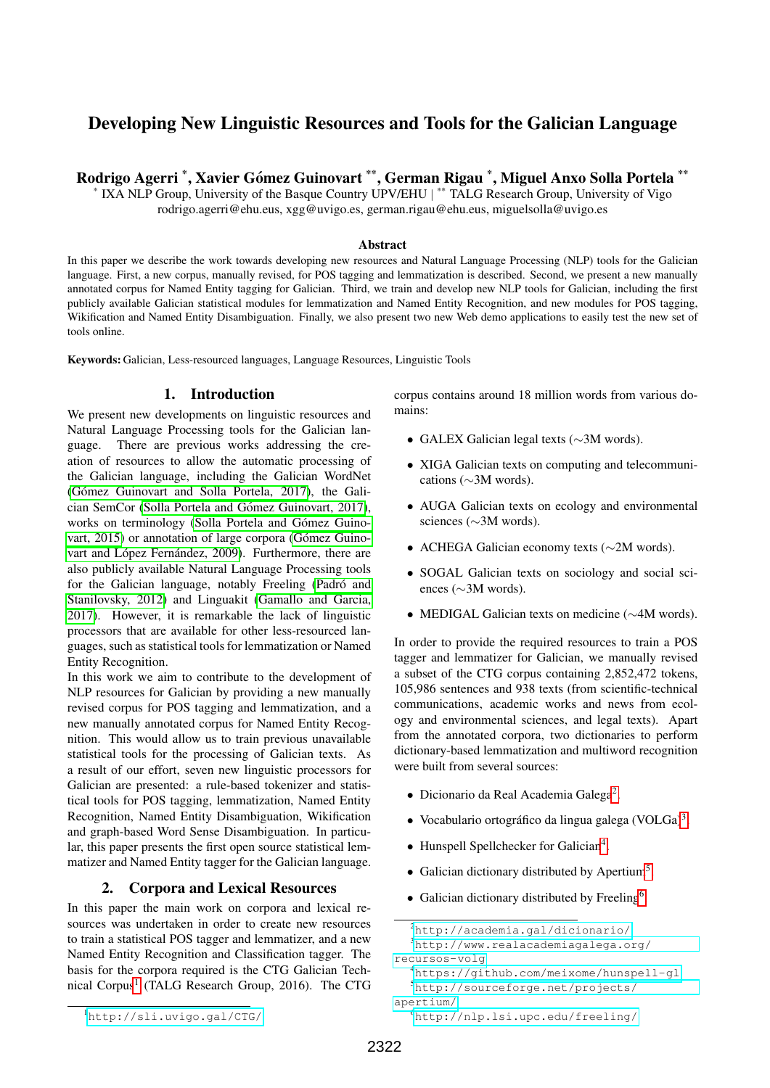# Developing New Linguistic Resources and Tools for the Galician Language

Rodrigo Agerri \*, Xavier Gómez Guinovart \*\*, German Rigau \*, Miguel Anxo Solla Portela \*\*

IXA NLP Group, University of the Basque Country UPV/EHU | \*\* TALG Research Group, University of Vigo rodrigo.agerri@ehu.eus, xgg@uvigo.es, german.rigau@ehu.eus, miguelsolla@uvigo.es

#### Abstract

In this paper we describe the work towards developing new resources and Natural Language Processing (NLP) tools for the Galician language. First, a new corpus, manually revised, for POS tagging and lemmatization is described. Second, we present a new manually annotated corpus for Named Entity tagging for Galician. Third, we train and develop new NLP tools for Galician, including the first publicly available Galician statistical modules for lemmatization and Named Entity Recognition, and new modules for POS tagging, Wikification and Named Entity Disambiguation. Finally, we also present two new Web demo applications to easily test the new set of tools online.

Keywords: Galician, Less-resourced languages, Language Resources, Linguistic Tools

#### 1. Introduction

\*

We present new developments on linguistic resources and Natural Language Processing tools for the Galician language. There are previous works addressing the creation of resources to allow the automatic processing of the Galician language, including the Galician WordNet (Gómez Guinovart and Solla Portela, 2017), the Galician SemCor (Solla Portela and Gómez Guinovart, 2017), works on terminology (Solla Portela and Gómez Guino[vart, 2015\)](#page-3-2) or annotation of large corpora (Gómez Guinovart and López Fernández, 2009). Furthermore, there are also publicly available Natural Language Processing tools for the Galician language, notably Freeling (Padró and [Stanilovsky, 2012\)](#page-3-4) and Linguakit [\(Gamallo and Garcia,](#page-3-5) [2017\)](#page-3-5). However, it is remarkable the lack of linguistic processors that are available for other less-resourced languages, such as statistical tools for lemmatization or Named Entity Recognition.

In this work we aim to contribute to the development of NLP resources for Galician by providing a new manually revised corpus for POS tagging and lemmatization, and a new manually annotated corpus for Named Entity Recognition. This would allow us to train previous unavailable statistical tools for the processing of Galician texts. As a result of our effort, seven new linguistic processors for Galician are presented: a rule-based tokenizer and statistical tools for POS tagging, lemmatization, Named Entity Recognition, Named Entity Disambiguation, Wikification and graph-based Word Sense Disambiguation. In particular, this paper presents the first open source statistical lemmatizer and Named Entity tagger for the Galician language.

### 2. Corpora and Lexical Resources

<span id="page-0-6"></span>In this paper the main work on corpora and lexical resources was undertaken in order to create new resources to train a statistical POS tagger and lemmatizer, and a new Named Entity Recognition and Classification tagger. The basis for the corpora required is the CTG Galician Tech-nical Corpus<sup>[1](#page-0-0)</sup> (TALG Research Group, 2016). The CTG

<span id="page-0-0"></span><sup>1</sup><http://sli.uvigo.gal/CTG/>

corpus contains around 18 million words from various domains:

- GALEX Galician legal texts (∼3M words).
- XIGA Galician texts on computing and telecommunications (∼3M words).
- AUGA Galician texts on ecology and environmental sciences (∼3M words).
- ACHEGA Galician economy texts (∼2M words).
- SOGAL Galician texts on sociology and social sciences (∼3M words).
- MEDIGAL Galician texts on medicine (∼4M words).

In order to provide the required resources to train a POS tagger and lemmatizer for Galician, we manually revised a subset of the CTG corpus containing 2,852,472 tokens, 105,986 sentences and 938 texts (from scientific-technical communications, academic works and news from ecology and environmental sciences, and legal texts). Apart from the annotated corpora, two dictionaries to perform dictionary-based lemmatization and multiword recognition were built from several sources:

- Dicionario da Real Academia Galega<sup>[2](#page-0-1)</sup>.
- Vocabulario ortográfico da lingua galega (VOLGa)<sup>[3](#page-0-2)</sup>.
- Hunspell Spellchecker for Galician<sup>[4](#page-0-3)</sup>.
- Galician dictionary distributed by Apertium[5](#page-0-4) .
- Galician dictionary distributed by Freeling<sup>[6](#page-0-5)</sup>.

<span id="page-0-2"></span><span id="page-0-1"></span><sup>2</sup><http://academia.gal/dicionario/> <sup>3</sup>[http://www.realacademiagalega.org/](http://www.realacademiagalega.org/recursos-volg) [recursos-volg](http://www.realacademiagalega.org/recursos-volg)

<span id="page-0-3"></span><sup>4</sup><https://github.com/meixome/hunspell-gl>

<span id="page-0-4"></span><sup>5</sup>[http://sourceforge.net/projects/](http://sourceforge.net/projects/apertium/)

[apertium/](http://sourceforge.net/projects/apertium/)

<span id="page-0-5"></span><sup>6</sup><http://nlp.lsi.upc.edu/freeling/>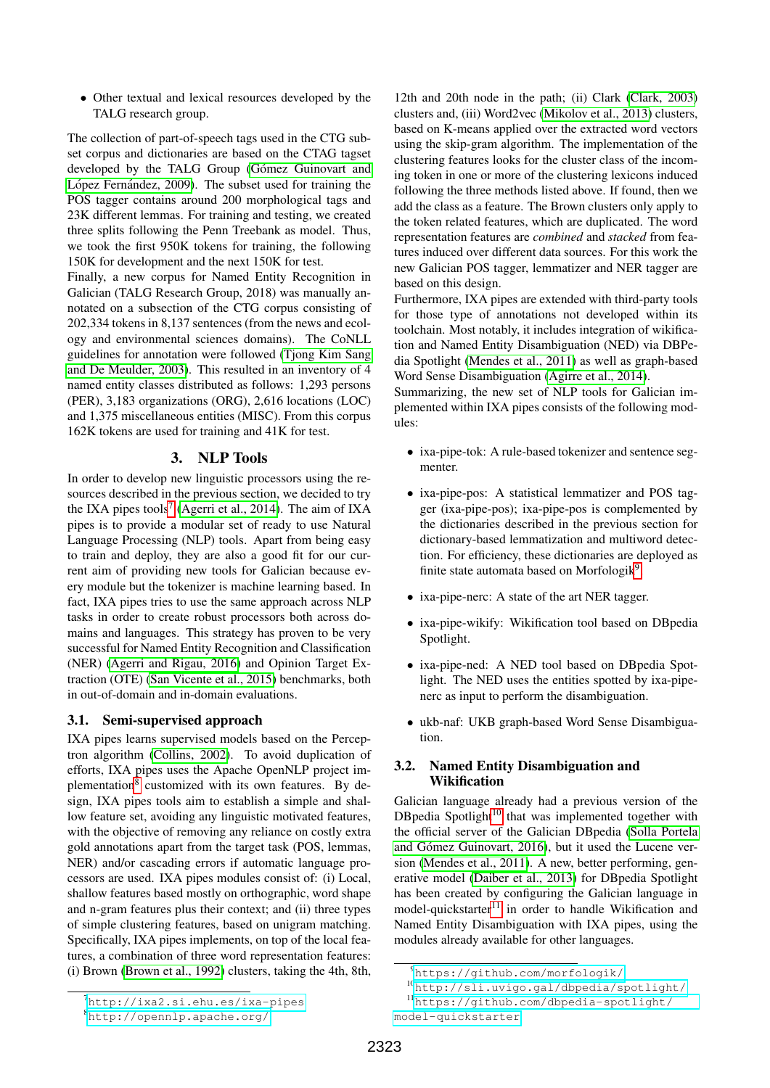• Other textual and lexical resources developed by the TALG research group.

The collection of part-of-speech tags used in the CTG subset corpus and dictionaries are based on the CTAG tagset developed by the TALG Group (Gómez Guinovart and López Fernández, 2009). The subset used for training the POS tagger contains around 200 morphological tags and 23K different lemmas. For training and testing, we created three splits following the Penn Treebank as model. Thus, we took the first 950K tokens for training, the following 150K for development and the next 150K for test.

Finally, a new corpus for Named Entity Recognition in Galician (TALG Research Group, 2018) was manually annotated on a subsection of the CTG corpus consisting of 202,334 tokens in 8,137 sentences (from the news and ecology and environmental sciences domains). The CoNLL guidelines for annotation were followed [\(Tjong Kim Sang](#page-3-6) [and De Meulder, 2003\)](#page-3-6). This resulted in an inventory of 4 named entity classes distributed as follows: 1,293 persons (PER), 3,183 organizations (ORG), 2,616 locations (LOC) and 1,375 miscellaneous entities (MISC). From this corpus 162K tokens are used for training and 41K for test.

## 3. NLP Tools

In order to develop new linguistic processors using the resources described in the previous section, we decided to try the IXA pipes tools<sup>[7](#page-1-0)</sup> [\(Agerri et al., 2014\)](#page-3-7). The aim of IXA pipes is to provide a modular set of ready to use Natural Language Processing (NLP) tools. Apart from being easy to train and deploy, they are also a good fit for our current aim of providing new tools for Galician because every module but the tokenizer is machine learning based. In fact, IXA pipes tries to use the same approach across NLP tasks in order to create robust processors both across domains and languages. This strategy has proven to be very successful for Named Entity Recognition and Classification (NER) [\(Agerri and Rigau, 2016\)](#page-3-8) and Opinion Target Extraction (OTE) [\(San Vicente et al., 2015\)](#page-3-9) benchmarks, both in out-of-domain and in-domain evaluations.

### <span id="page-1-5"></span>3.1. Semi-supervised approach

IXA pipes learns supervised models based on the Perceptron algorithm [\(Collins, 2002\)](#page-3-10). To avoid duplication of efforts, IXA pipes uses the Apache OpenNLP project im-plementation<sup>[8](#page-1-1)</sup> customized with its own features. By design, IXA pipes tools aim to establish a simple and shallow feature set, avoiding any linguistic motivated features, with the objective of removing any reliance on costly extra gold annotations apart from the target task (POS, lemmas, NER) and/or cascading errors if automatic language processors are used. IXA pipes modules consist of: (i) Local, shallow features based mostly on orthographic, word shape and n-gram features plus their context; and (ii) three types of simple clustering features, based on unigram matching. Specifically, IXA pipes implements, on top of the local features, a combination of three word representation features: (i) Brown [\(Brown et al., 1992\)](#page-3-11) clusters, taking the 4th, 8th,

12th and 20th node in the path; (ii) Clark [\(Clark, 2003\)](#page-3-12) clusters and, (iii) Word2vec [\(Mikolov et al., 2013\)](#page-3-13) clusters, based on K-means applied over the extracted word vectors using the skip-gram algorithm. The implementation of the clustering features looks for the cluster class of the incoming token in one or more of the clustering lexicons induced following the three methods listed above. If found, then we add the class as a feature. The Brown clusters only apply to the token related features, which are duplicated. The word representation features are *combined* and *stacked* from features induced over different data sources. For this work the new Galician POS tagger, lemmatizer and NER tagger are based on this design.

Furthermore, IXA pipes are extended with third-party tools for those type of annotations not developed within its toolchain. Most notably, it includes integration of wikification and Named Entity Disambiguation (NED) via DBPedia Spotlight [\(Mendes et al., 2011\)](#page-3-14) as well as graph-based Word Sense Disambiguation [\(Agirre et al., 2014\)](#page-3-15).

Summarizing, the new set of NLP tools for Galician implemented within IXA pipes consists of the following modules:

- ixa-pipe-tok: A rule-based tokenizer and sentence segmenter.
- ixa-pipe-pos: A statistical lemmatizer and POS tagger (ixa-pipe-pos); ixa-pipe-pos is complemented by the dictionaries described in the previous section for dictionary-based lemmatization and multiword detection. For efficiency, these dictionaries are deployed as finite state automata based on Morfologik<sup>[9](#page-1-2)</sup>.
- ixa-pipe-nerc: A state of the art NER tagger.
- ixa-pipe-wikify: Wikification tool based on DBpedia Spotlight.
- ixa-pipe-ned: A NED tool based on DBpedia Spotlight. The NED uses the entities spotted by ixa-pipenerc as input to perform the disambiguation.
- ukb-naf: UKB graph-based Word Sense Disambiguation.

### 3.2. Named Entity Disambiguation and Wikification

Galician language already had a previous version of the DBpedia Spotlight<sup>[10](#page-1-3)</sup> that was implemented together with the official server of the Galician DBpedia [\(Solla Portela](#page-3-16) and Gómez Guinovart, 2016), but it used the Lucene version [\(Mendes et al., 2011\)](#page-3-14). A new, better performing, generative model [\(Daiber et al., 2013\)](#page-3-17) for DBpedia Spotlight has been created by configuring the Galician language in model-quickstarter<sup>[11](#page-1-4)</sup> in order to handle Wikification and Named Entity Disambiguation with IXA pipes, using the modules already available for other languages.

<span id="page-1-0"></span><sup>7</sup><http://ixa2.si.ehu.es/ixa-pipes>

<span id="page-1-2"></span><sup>9</sup><https://github.com/morfologik/>

<span id="page-1-4"></span><span id="page-1-3"></span><sup>10</sup><http://sli.uvigo.gal/dbpedia/spotlight/>

<sup>11</sup>[https://github.com/dbpedia-spotlight/](https://github.com/dbpedia-spotlight/model-quickstarter) [model-quickstarter](https://github.com/dbpedia-spotlight/model-quickstarter)

<span id="page-1-1"></span><sup>8</sup><http://opennlp.apache.org/>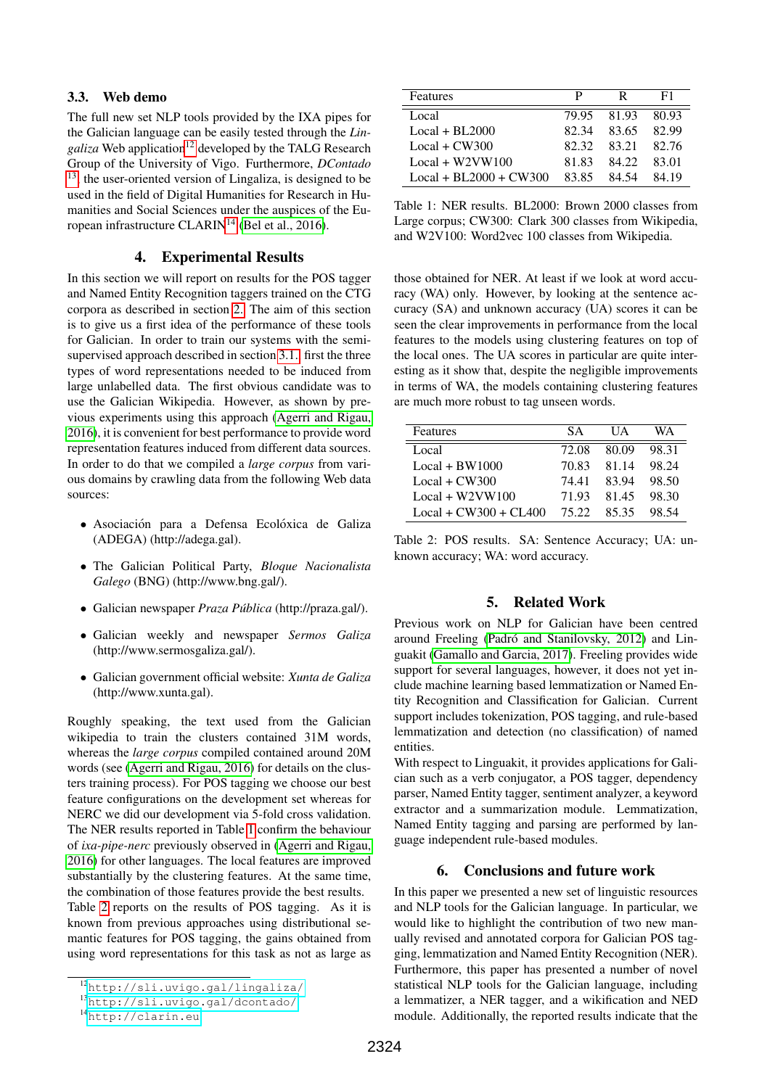#### 3.3. Web demo

The full new set NLP tools provided by the IXA pipes for the Galician language can be easily tested through the *Lingaliza* Web application<sup>[12](#page-2-0)</sup> developed by the TALG Research Group of the University of Vigo. Furthermore, *DContado*  $13$ , the user-oriented version of Lingaliza, is designed to be used in the field of Digital Humanities for Research in Humanities and Social Sciences under the auspices of the Eu-ropean infrastructure CLARIN<sup>[14](#page-2-2)</sup> [\(Bel et al., 2016\)](#page-3-18).

### 4. Experimental Results

In this section we will report on results for the POS tagger and Named Entity Recognition taggers trained on the CTG corpora as described in section [2.](#page-0-6) The aim of this section is to give us a first idea of the performance of these tools for Galician. In order to train our systems with the semisupervised approach described in section [3.1.,](#page-1-5) first the three types of word representations needed to be induced from large unlabelled data. The first obvious candidate was to use the Galician Wikipedia. However, as shown by previous experiments using this approach [\(Agerri and Rigau,](#page-3-8) [2016\)](#page-3-8), it is convenient for best performance to provide word representation features induced from different data sources. In order to do that we compiled a *large corpus* from various domains by crawling data from the following Web data sources:

- · Asociación para a Defensa Ecolóxica de Galiza (ADEGA) (http://adega.gal).
- The Galician Political Party, *Bloque Nacionalista Galego* (BNG) (http://www.bng.gal/).
- Galician newspaper *Praza Publica ´* (http://praza.gal/).
- Galician weekly and newspaper *Sermos Galiza* (http://www.sermosgaliza.gal/).
- Galician government official website: *Xunta de Galiza* (http://www.xunta.gal).

Roughly speaking, the text used from the Galician wikipedia to train the clusters contained 31M words, whereas the *large corpus* compiled contained around 20M words (see [\(Agerri and Rigau, 2016\)](#page-3-8) for details on the clusters training process). For POS tagging we choose our best feature configurations on the development set whereas for NERC we did our development via 5-fold cross validation. The NER results reported in Table [1](#page-2-3) confirm the behaviour of *ixa-pipe-nerc* previously observed in [\(Agerri and Rigau,](#page-3-8) [2016\)](#page-3-8) for other languages. The local features are improved substantially by the clustering features. At the same time, the combination of those features provide the best results. Table [2](#page-2-4) reports on the results of POS tagging. As it is known from previous approaches using distributional semantic features for POS tagging, the gains obtained from using word representations for this task as not as large as

| Features                 | P | R                 | F1     |
|--------------------------|---|-------------------|--------|
| Local.                   |   | 79.95 81.93 80.93 |        |
| $Local + BL2000$         |   | 82.34 83.65 82.99 |        |
| $Local + CW300$          |   | 82.32 83.21       | 82.76  |
| $Local + W2VW100$        |   | 81.83 84.22       | -83.01 |
| $Local + BL2000 + CW300$ |   | 8385 8454         | 84 19  |

<span id="page-2-3"></span>Table 1: NER results. BL2000: Brown 2000 classes from Large corpus; CW300: Clark 300 classes from Wikipedia, and W2V100: Word2vec 100 classes from Wikipedia.

those obtained for NER. At least if we look at word accuracy (WA) only. However, by looking at the sentence accuracy (SA) and unknown accuracy (UA) scores it can be seen the clear improvements in performance from the local features to the models using clustering features on top of the local ones. The UA scores in particular are quite interesting as it show that, despite the negligible improvements in terms of WA, the models containing clustering features are much more robust to tag unseen words.

| <b>Features</b>         | SA.   | I J A | WA    |
|-------------------------|-------|-------|-------|
| Local                   | 72.08 | 80.09 | 98.31 |
| $Local + BW1000$        | 70.83 | 81.14 | 98.24 |
| $Local + CW300$         | 74 41 | 83.94 | 98.50 |
| Local + $W2VW100$       | 71.93 | 81.45 | 98.30 |
| $Local + CW300 + CL400$ | 75.22 | 8535  | 98.54 |

<span id="page-2-4"></span>Table 2: POS results. SA: Sentence Accuracy; UA: unknown accuracy; WA: word accuracy.

#### 5. Related Work

Previous work on NLP for Galician have been centred around Freeling (Padró and Stanilovsky, 2012) and Linguakit [\(Gamallo and Garcia, 2017\)](#page-3-5). Freeling provides wide support for several languages, however, it does not yet include machine learning based lemmatization or Named Entity Recognition and Classification for Galician. Current support includes tokenization, POS tagging, and rule-based lemmatization and detection (no classification) of named entities.

With respect to Linguakit, it provides applications for Galician such as a verb conjugator, a POS tagger, dependency parser, Named Entity tagger, sentiment analyzer, a keyword extractor and a summarization module. Lemmatization, Named Entity tagging and parsing are performed by language independent rule-based modules.

## 6. Conclusions and future work

In this paper we presented a new set of linguistic resources and NLP tools for the Galician language. In particular, we would like to highlight the contribution of two new manually revised and annotated corpora for Galician POS tagging, lemmatization and Named Entity Recognition (NER). Furthermore, this paper has presented a number of novel statistical NLP tools for the Galician language, including a lemmatizer, a NER tagger, and a wikification and NED module. Additionally, the reported results indicate that the

<span id="page-2-0"></span><sup>12</sup><http://sli.uvigo.gal/lingaliza/>

<span id="page-2-1"></span><sup>13</sup><http://sli.uvigo.gal/dcontado/>

<span id="page-2-2"></span><sup>14</sup><http://clarin.eu>